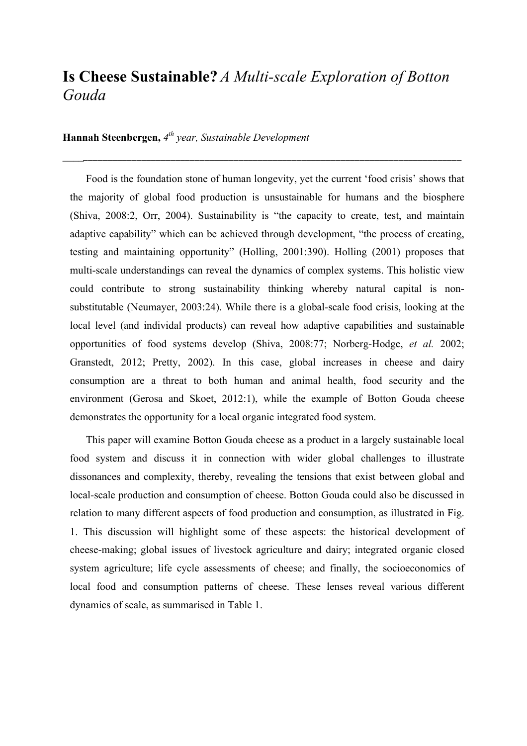# **Is Cheese Sustainable?** *A Multi-scale Exploration of Botton Gouda*

*\_\_\_\_\_\_\_\_\_\_\_\_\_\_\_\_\_\_\_\_\_\_\_\_\_\_\_\_\_\_\_\_\_\_\_\_\_\_\_\_\_\_\_\_\_\_\_\_\_\_\_\_\_\_\_\_\_\_\_\_\_\_\_\_\_\_\_\_\_\_\_\_\_\_\_\_\_\_\_\_\_\_*

## **Hannah Steenbergen,** *4th year, Sustainable Development*

Food is the foundation stone of human longevity, yet the current 'food crisis' shows that the majority of global food production is unsustainable for humans and the biosphere (Shiva, 2008:2, Orr, 2004). Sustainability is "the capacity to create, test, and maintain adaptive capability" which can be achieved through development, "the process of creating, testing and maintaining opportunity" (Holling, 2001:390). Holling (2001) proposes that multi-scale understandings can reveal the dynamics of complex systems. This holistic view could contribute to strong sustainability thinking whereby natural capital is nonsubstitutable (Neumayer, 2003:24). While there is a global-scale food crisis, looking at the local level (and individal products) can reveal how adaptive capabilities and sustainable opportunities of food systems develop (Shiva, 2008:77; Norberg-Hodge, *et al.* 2002; Granstedt, 2012; Pretty, 2002). In this case, global increases in cheese and dairy consumption are a threat to both human and animal health, food security and the environment (Gerosa and Skoet, 2012:1), while the example of Botton Gouda cheese demonstrates the opportunity for a local organic integrated food system.

This paper will examine Botton Gouda cheese as a product in a largely sustainable local food system and discuss it in connection with wider global challenges to illustrate dissonances and complexity, thereby, revealing the tensions that exist between global and local-scale production and consumption of cheese. Botton Gouda could also be discussed in relation to many different aspects of food production and consumption, as illustrated in Fig. 1. This discussion will highlight some of these aspects: the historical development of cheese-making; global issues of livestock agriculture and dairy; integrated organic closed system agriculture; life cycle assessments of cheese; and finally, the socioeconomics of local food and consumption patterns of cheese. These lenses reveal various different dynamics of scale, as summarised in Table 1.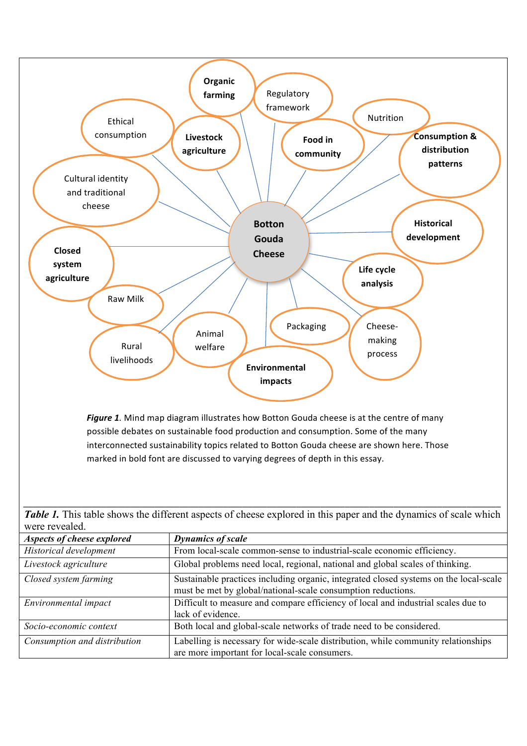

| Closed system farming        | Sustainable practices including organic, integrated closed systems on the local-scale |
|------------------------------|---------------------------------------------------------------------------------------|
|                              | must be met by global/national-scale consumption reductions.                          |
| Environmental impact         | Difficult to measure and compare efficiency of local and industrial scales due to     |
|                              | lack of evidence.                                                                     |
| Socio-economic context       | Both local and global-scale networks of trade need to be considered.                  |
| Consumption and distribution | Labelling is necessary for wide-scale distribution, while community relationships     |

are more important for local-scale consumers.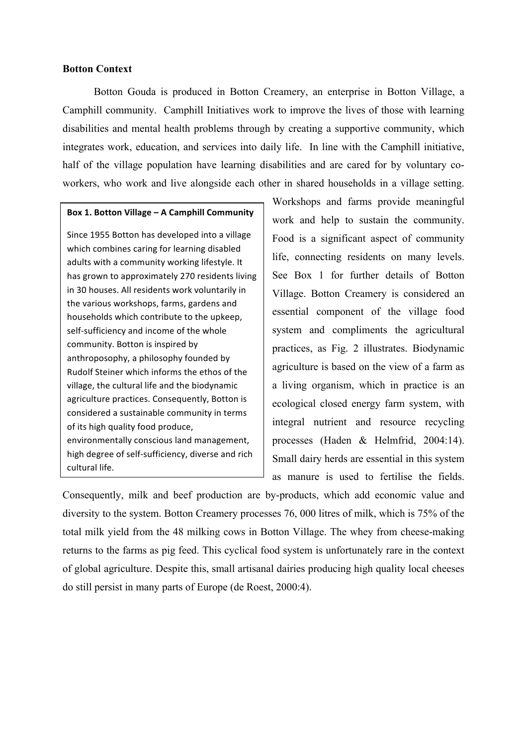## **Botton Context**

Botton Gouda is produced in Botton Creamery, an enterprise in Botton Village, a Camphill community. Camphill Initiatives work to improve the lives of those with learning disabilities and mental health problems through by creating a supportive community, which integrates work, education, and services into daily life. In line with the Camphill initiative, half of the village population have learning disabilities and are cared for by voluntary coworkers, who work and live alongside each other in shared households in a village setting.

#### **Box 1. Botton Village – A Camphill Community**

Since 1955 Botton has developed into a village which combines caring for learning disabled adults with a community working lifestyle. It has grown to approximately 270 residents living in 30 houses. All residents work voluntarily in the various workshops, farms, gardens and households which contribute to the upkeep, self-sufficiency and income of the whole community. Botton is inspired by anthroposophy, a philosophy founded by Rudolf Steiner which informs the ethos of the village, the cultural life and the biodynamic agriculture practices. Consequently, Botton is considered a sustainable community in terms of its high quality food produce, environmentally conscious land management, high degree of self-sufficiency, diverse and rich cultural life.

Workshops and farms provide meaningful work and help to sustain the community. Food is a significant aspect of community life, connecting residents on many levels. See Box 1 for further details of Botton Village. Botton Creamery is considered an essential component of the village food system and compliments the agricultural practices, as Fig. 2 illustrates. Biodynamic agriculture is based on the view of a farm as a living organism, which in practice is an ecological closed energy farm system, with integral nutrient and resource recycling processes (Haden & Helmfrid, 2004:14). Small dairy herds are essential in this system as manure is used to fertilise the fields.

Consequently, milk and beef production are by-products, which add economic value and diversity to the system. Botton Creamery processes 76, 000 litres of milk, which is 75% of the total milk yield from the 48 milking cows in Botton Village. The whey from cheese-making returns to the farms as pig feed. This cyclical food system is unfortunately rare in the context of global agriculture. Despite this, small artisanal dairies producing high quality local cheeses do still persist in many parts of Europe (de Roest, 2000:4).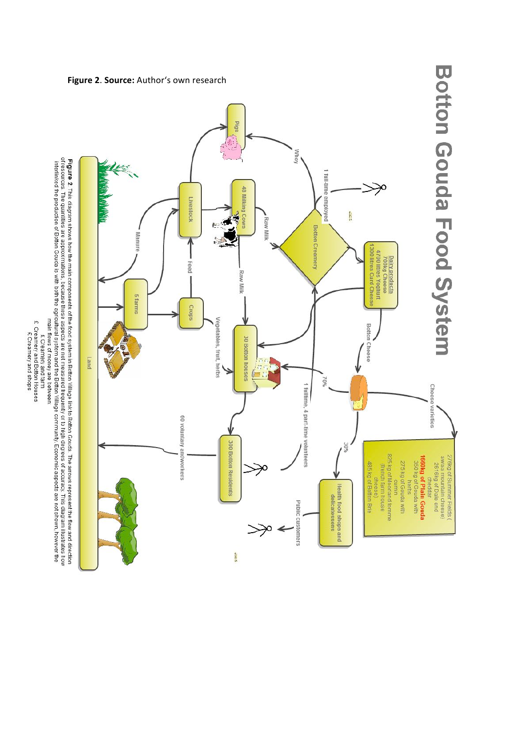

## Figure 2. Source: Author's own research

main flows of money are between:<br>£ Creamery and farm

£ Creamery and Botton Houses<br>£ Creamery and shops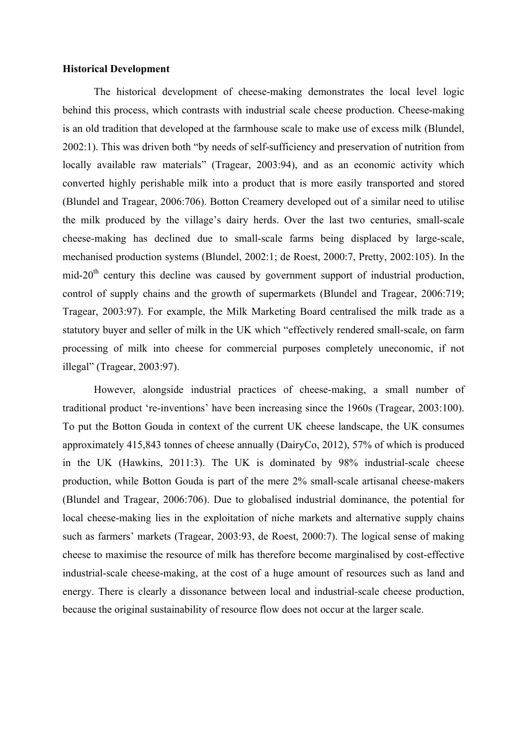#### **Historical Development**

The historical development of cheese-making demonstrates the local level logic behind this process, which contrasts with industrial scale cheese production. Cheese-making is an old tradition that developed at the farmhouse scale to make use of excess milk (Blundel, 2002:1). This was driven both "by needs of self-sufficiency and preservation of nutrition from locally available raw materials" (Tragear, 2003:94), and as an economic activity which converted highly perishable milk into a product that is more easily transported and stored (Blundel and Tragear, 2006:706). Botton Creamery developed out of a similar need to utilise the milk produced by the village's dairy herds. Over the last two centuries, small-scale cheese-making has declined due to small-scale farms being displaced by large-scale, mechanised production systems (Blundel, 2002:1; de Roest, 2000:7, Pretty, 2002:105). In the mid-20<sup>th</sup> century this decline was caused by government support of industrial production, control of supply chains and the growth of supermarkets (Blundel and Tragear, 2006:719; Tragear, 2003:97). For example, the Milk Marketing Board centralised the milk trade as a statutory buyer and seller of milk in the UK which "effectively rendered small-scale, on farm processing of milk into cheese for commercial purposes completely uneconomic, if not illegal" (Tragear, 2003:97).

However, alongside industrial practices of cheese-making, a small number of traditional product 're-inventions' have been increasing since the 1960s (Tragear, 2003:100). To put the Botton Gouda in context of the current UK cheese landscape, the UK consumes approximately 415,843 tonnes of cheese annually (DairyCo, 2012), 57% of which is produced in the UK (Hawkins, 2011:3). The UK is dominated by 98% industrial-scale cheese production, while Botton Gouda is part of the mere 2% small-scale artisanal cheese-makers (Blundel and Tragear, 2006:706). Due to globalised industrial dominance, the potential for local cheese-making lies in the exploitation of niche markets and alternative supply chains such as farmers' markets (Tragear, 2003:93, de Roest, 2000:7). The logical sense of making cheese to maximise the resource of milk has therefore become marginalised by cost-effective industrial-scale cheese-making, at the cost of a huge amount of resources such as land and energy. There is clearly a dissonance between local and industrial-scale cheese production, because the original sustainability of resource flow does not occur at the larger scale.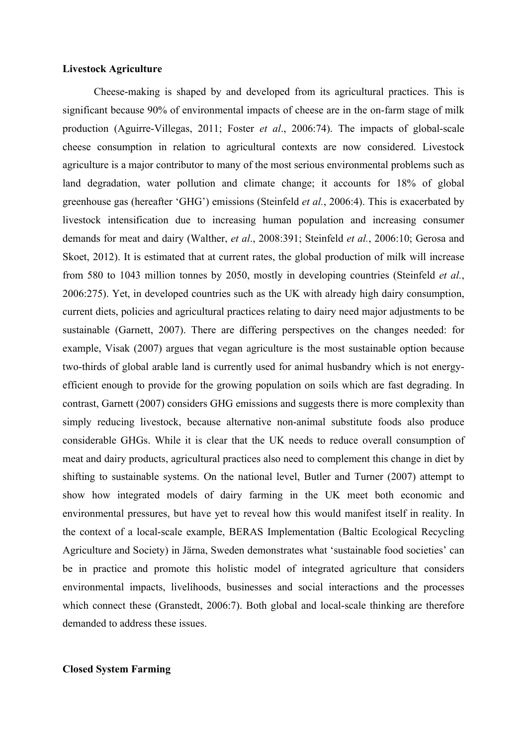#### **Livestock Agriculture**

Cheese-making is shaped by and developed from its agricultural practices. This is significant because 90% of environmental impacts of cheese are in the on-farm stage of milk production (Aguirre-Villegas, 2011; Foster *et al*., 2006:74). The impacts of global-scale cheese consumption in relation to agricultural contexts are now considered. Livestock agriculture is a major contributor to many of the most serious environmental problems such as land degradation, water pollution and climate change; it accounts for 18% of global greenhouse gas (hereafter 'GHG') emissions (Steinfeld *et al.*, 2006:4). This is exacerbated by livestock intensification due to increasing human population and increasing consumer demands for meat and dairy (Walther, *et al*., 2008:391; Steinfeld *et al.*, 2006:10; Gerosa and Skoet, 2012). It is estimated that at current rates, the global production of milk will increase from 580 to 1043 million tonnes by 2050, mostly in developing countries (Steinfeld *et al.*, 2006:275). Yet, in developed countries such as the UK with already high dairy consumption, current diets, policies and agricultural practices relating to dairy need major adjustments to be sustainable (Garnett, 2007). There are differing perspectives on the changes needed: for example, Visak (2007) argues that vegan agriculture is the most sustainable option because two-thirds of global arable land is currently used for animal husbandry which is not energyefficient enough to provide for the growing population on soils which are fast degrading. In contrast, Garnett (2007) considers GHG emissions and suggests there is more complexity than simply reducing livestock, because alternative non-animal substitute foods also produce considerable GHGs. While it is clear that the UK needs to reduce overall consumption of meat and dairy products, agricultural practices also need to complement this change in diet by shifting to sustainable systems. On the national level, Butler and Turner (2007) attempt to show how integrated models of dairy farming in the UK meet both economic and environmental pressures, but have yet to reveal how this would manifest itself in reality. In the context of a local-scale example, BERAS Implementation (Baltic Ecological Recycling Agriculture and Society) in Järna, Sweden demonstrates what 'sustainable food societies' can be in practice and promote this holistic model of integrated agriculture that considers environmental impacts, livelihoods, businesses and social interactions and the processes which connect these (Granstedt, 2006:7). Both global and local-scale thinking are therefore demanded to address these issues.

## **Closed System Farming**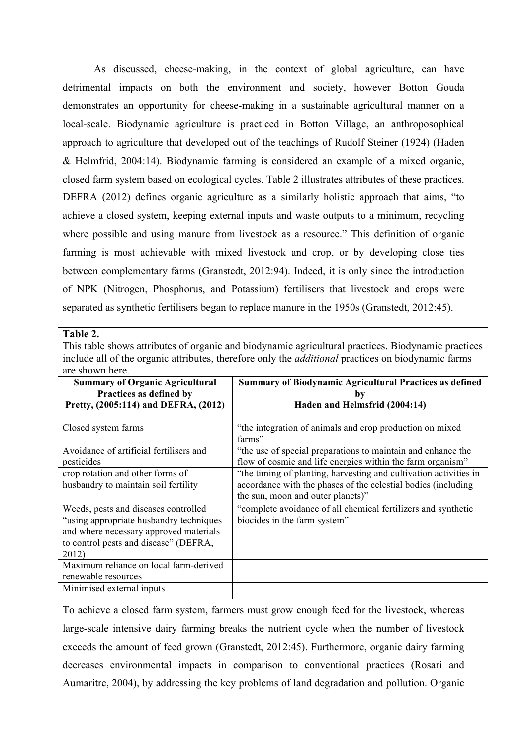As discussed, cheese-making, in the context of global agriculture, can have detrimental impacts on both the environment and society, however Botton Gouda demonstrates an opportunity for cheese-making in a sustainable agricultural manner on a local-scale. Biodynamic agriculture is practiced in Botton Village, an anthroposophical approach to agriculture that developed out of the teachings of Rudolf Steiner (1924) (Haden & Helmfrid, 2004:14). Biodynamic farming is considered an example of a mixed organic, closed farm system based on ecological cycles. Table 2 illustrates attributes of these practices. DEFRA (2012) defines organic agriculture as a similarly holistic approach that aims, "to achieve a closed system, keeping external inputs and waste outputs to a minimum, recycling where possible and using manure from livestock as a resource." This definition of organic farming is most achievable with mixed livestock and crop, or by developing close ties between complementary farms (Granstedt, 2012:94). Indeed, it is only since the introduction of NPK (Nitrogen, Phosphorus, and Potassium) fertilisers that livestock and crops were separated as synthetic fertilisers began to replace manure in the 1950s (Granstedt, 2012:45).

This table shows attributes of organic and biodynamic agricultural practices. Biodynamic practices include all of the organic attributes, therefore only the *additional* practices on biodynamic farms are shown here.

| <b>Summary of Organic Agricultural</b><br>Practices as defined by<br>Pretty, (2005:114) and DEFRA, (2012)                                                                    | <b>Summary of Biodynamic Agricultural Practices as defined</b><br>bv<br>Haden and Helmsfrid (2004:14)                                                                   |
|------------------------------------------------------------------------------------------------------------------------------------------------------------------------------|-------------------------------------------------------------------------------------------------------------------------------------------------------------------------|
| Closed system farms                                                                                                                                                          | "the integration of animals and crop production on mixed<br>farms"                                                                                                      |
| Avoidance of artificial fertilisers and<br>pesticides                                                                                                                        | "the use of special preparations to maintain and enhance the<br>flow of cosmic and life energies within the farm organism"                                              |
| crop rotation and other forms of<br>husbandry to maintain soil fertility                                                                                                     | "the timing of planting, harvesting and cultivation activities in<br>accordance with the phases of the celestial bodies (including<br>the sun, moon and outer planets)" |
| Weeds, pests and diseases controlled<br>"using appropriate husbandry techniques"<br>and where necessary approved materials<br>to control pests and disease" (DEFRA,<br>2012) | "complete avoidance of all chemical fertilizers and synthetic<br>biocides in the farm system"                                                                           |
| Maximum reliance on local farm-derived<br>renewable resources                                                                                                                |                                                                                                                                                                         |
| Minimised external inputs                                                                                                                                                    |                                                                                                                                                                         |

To achieve a closed farm system, farmers must grow enough feed for the livestock, whereas large-scale intensive dairy farming breaks the nutrient cycle when the number of livestock exceeds the amount of feed grown (Granstedt, 2012:45). Furthermore, organic dairy farming decreases environmental impacts in comparison to conventional practices (Rosari and Aumaritre, 2004), by addressing the key problems of land degradation and pollution. Organic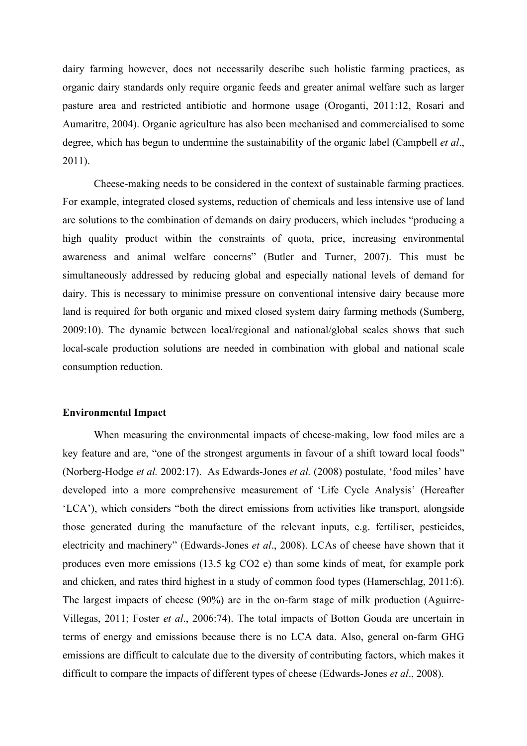dairy farming however, does not necessarily describe such holistic farming practices, as organic dairy standards only require organic feeds and greater animal welfare such as larger pasture area and restricted antibiotic and hormone usage (Oroganti, 2011:12, Rosari and Aumaritre, 2004). Organic agriculture has also been mechanised and commercialised to some degree, which has begun to undermine the sustainability of the organic label (Campbell *et al*., 2011).

Cheese-making needs to be considered in the context of sustainable farming practices. For example, integrated closed systems, reduction of chemicals and less intensive use of land are solutions to the combination of demands on dairy producers, which includes "producing a high quality product within the constraints of quota, price, increasing environmental awareness and animal welfare concerns" (Butler and Turner, 2007). This must be simultaneously addressed by reducing global and especially national levels of demand for dairy. This is necessary to minimise pressure on conventional intensive dairy because more land is required for both organic and mixed closed system dairy farming methods (Sumberg, 2009:10). The dynamic between local/regional and national/global scales shows that such local-scale production solutions are needed in combination with global and national scale consumption reduction.

#### **Environmental Impact**

When measuring the environmental impacts of cheese-making, low food miles are a key feature and are, "one of the strongest arguments in favour of a shift toward local foods" (Norberg-Hodge *et al.* 2002:17). As Edwards-Jones *et al.* (2008) postulate, 'food miles' have developed into a more comprehensive measurement of 'Life Cycle Analysis' (Hereafter 'LCA'), which considers "both the direct emissions from activities like transport, alongside those generated during the manufacture of the relevant inputs, e.g. fertiliser, pesticides, electricity and machinery" (Edwards-Jones *et al*., 2008). LCAs of cheese have shown that it produces even more emissions (13.5 kg CO2 e) than some kinds of meat, for example pork and chicken, and rates third highest in a study of common food types (Hamerschlag, 2011:6). The largest impacts of cheese (90%) are in the on-farm stage of milk production (Aguirre-Villegas, 2011; Foster *et al*., 2006:74). The total impacts of Botton Gouda are uncertain in terms of energy and emissions because there is no LCA data. Also, general on-farm GHG emissions are difficult to calculate due to the diversity of contributing factors, which makes it difficult to compare the impacts of different types of cheese (Edwards-Jones *et al*., 2008).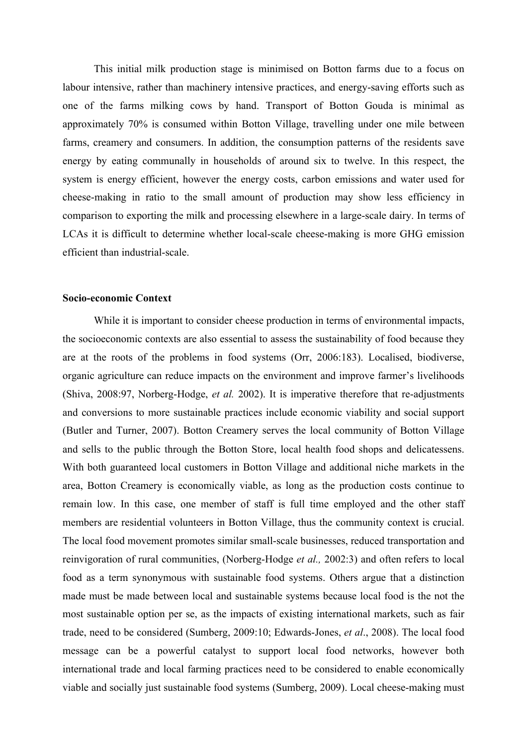This initial milk production stage is minimised on Botton farms due to a focus on labour intensive, rather than machinery intensive practices, and energy-saving efforts such as one of the farms milking cows by hand. Transport of Botton Gouda is minimal as approximately 70% is consumed within Botton Village, travelling under one mile between farms, creamery and consumers. In addition, the consumption patterns of the residents save energy by eating communally in households of around six to twelve. In this respect, the system is energy efficient, however the energy costs, carbon emissions and water used for cheese-making in ratio to the small amount of production may show less efficiency in comparison to exporting the milk and processing elsewhere in a large-scale dairy. In terms of LCAs it is difficult to determine whether local-scale cheese-making is more GHG emission efficient than industrial-scale.

## **Socio-economic Context**

While it is important to consider cheese production in terms of environmental impacts, the socioeconomic contexts are also essential to assess the sustainability of food because they are at the roots of the problems in food systems (Orr, 2006:183). Localised, biodiverse, organic agriculture can reduce impacts on the environment and improve farmer's livelihoods (Shiva, 2008:97, Norberg-Hodge, *et al.* 2002). It is imperative therefore that re-adjustments and conversions to more sustainable practices include economic viability and social support (Butler and Turner, 2007). Botton Creamery serves the local community of Botton Village and sells to the public through the Botton Store, local health food shops and delicatessens. With both guaranteed local customers in Botton Village and additional niche markets in the area, Botton Creamery is economically viable, as long as the production costs continue to remain low. In this case, one member of staff is full time employed and the other staff members are residential volunteers in Botton Village, thus the community context is crucial. The local food movement promotes similar small-scale businesses, reduced transportation and reinvigoration of rural communities, (Norberg-Hodge *et al.,* 2002:3) and often refers to local food as a term synonymous with sustainable food systems. Others argue that a distinction made must be made between local and sustainable systems because local food is the not the most sustainable option per se, as the impacts of existing international markets, such as fair trade, need to be considered (Sumberg, 2009:10; Edwards-Jones, *et al*., 2008). The local food message can be a powerful catalyst to support local food networks, however both international trade and local farming practices need to be considered to enable economically viable and socially just sustainable food systems (Sumberg, 2009). Local cheese-making must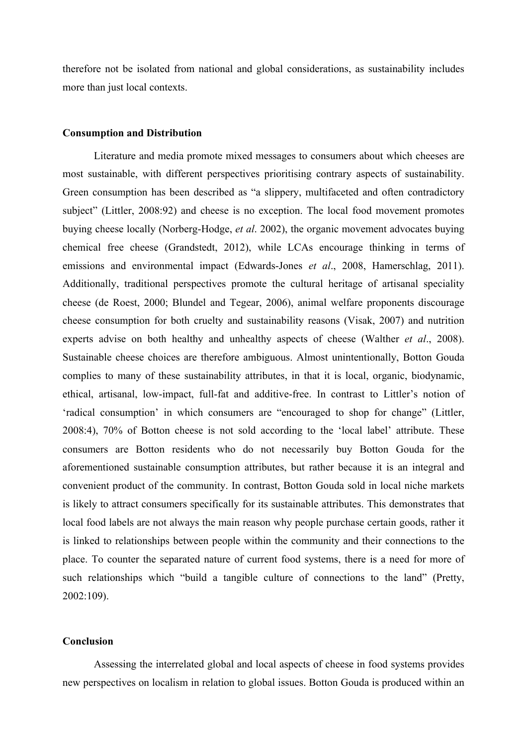therefore not be isolated from national and global considerations, as sustainability includes more than just local contexts.

#### **Consumption and Distribution**

Literature and media promote mixed messages to consumers about which cheeses are most sustainable, with different perspectives prioritising contrary aspects of sustainability. Green consumption has been described as "a slippery, multifaceted and often contradictory subject" (Littler, 2008:92) and cheese is no exception. The local food movement promotes buying cheese locally (Norberg-Hodge, *et al*. 2002), the organic movement advocates buying chemical free cheese (Grandstedt, 2012), while LCAs encourage thinking in terms of emissions and environmental impact (Edwards-Jones *et al*., 2008, Hamerschlag, 2011). Additionally, traditional perspectives promote the cultural heritage of artisanal speciality cheese (de Roest, 2000; Blundel and Tegear, 2006), animal welfare proponents discourage cheese consumption for both cruelty and sustainability reasons (Visak, 2007) and nutrition experts advise on both healthy and unhealthy aspects of cheese (Walther *et al*., 2008). Sustainable cheese choices are therefore ambiguous. Almost unintentionally, Botton Gouda complies to many of these sustainability attributes, in that it is local, organic, biodynamic, ethical, artisanal, low-impact, full-fat and additive-free. In contrast to Littler's notion of 'radical consumption' in which consumers are "encouraged to shop for change" (Littler, 2008:4), 70% of Botton cheese is not sold according to the 'local label' attribute. These consumers are Botton residents who do not necessarily buy Botton Gouda for the aforementioned sustainable consumption attributes, but rather because it is an integral and convenient product of the community. In contrast, Botton Gouda sold in local niche markets is likely to attract consumers specifically for its sustainable attributes. This demonstrates that local food labels are not always the main reason why people purchase certain goods, rather it is linked to relationships between people within the community and their connections to the place. To counter the separated nature of current food systems, there is a need for more of such relationships which "build a tangible culture of connections to the land" (Pretty, 2002:109).

#### **Conclusion**

Assessing the interrelated global and local aspects of cheese in food systems provides new perspectives on localism in relation to global issues. Botton Gouda is produced within an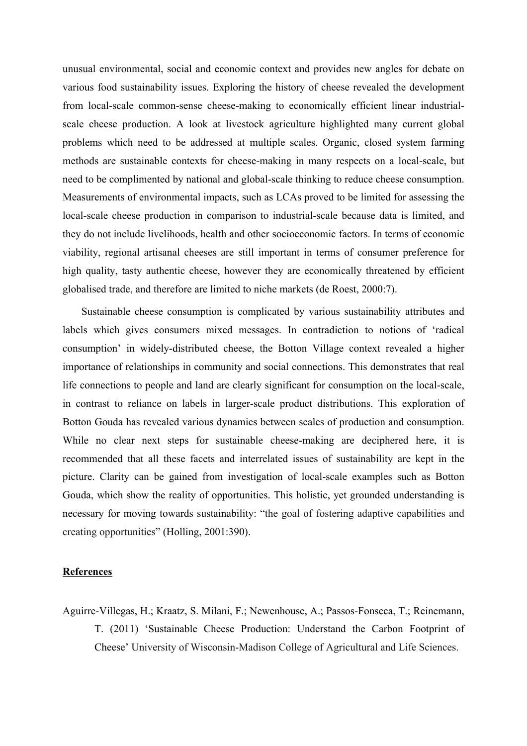unusual environmental, social and economic context and provides new angles for debate on various food sustainability issues. Exploring the history of cheese revealed the development from local-scale common-sense cheese-making to economically efficient linear industrialscale cheese production. A look at livestock agriculture highlighted many current global problems which need to be addressed at multiple scales. Organic, closed system farming methods are sustainable contexts for cheese-making in many respects on a local-scale, but need to be complimented by national and global-scale thinking to reduce cheese consumption. Measurements of environmental impacts, such as LCAs proved to be limited for assessing the local-scale cheese production in comparison to industrial-scale because data is limited, and they do not include livelihoods, health and other socioeconomic factors. In terms of economic viability, regional artisanal cheeses are still important in terms of consumer preference for high quality, tasty authentic cheese, however they are economically threatened by efficient globalised trade, and therefore are limited to niche markets (de Roest, 2000:7).

Sustainable cheese consumption is complicated by various sustainability attributes and labels which gives consumers mixed messages. In contradiction to notions of 'radical consumption' in widely-distributed cheese, the Botton Village context revealed a higher importance of relationships in community and social connections. This demonstrates that real life connections to people and land are clearly significant for consumption on the local-scale, in contrast to reliance on labels in larger-scale product distributions. This exploration of Botton Gouda has revealed various dynamics between scales of production and consumption. While no clear next steps for sustainable cheese-making are deciphered here, it is recommended that all these facets and interrelated issues of sustainability are kept in the picture. Clarity can be gained from investigation of local-scale examples such as Botton Gouda, which show the reality of opportunities. This holistic, yet grounded understanding is necessary for moving towards sustainability: "the goal of fostering adaptive capabilities and creating opportunities" (Holling, 2001:390).

#### **References**

Aguirre-Villegas, H.; Kraatz, S. Milani, F.; Newenhouse, A.; Passos-Fonseca, T.; Reinemann, T. (2011) 'Sustainable Cheese Production: Understand the Carbon Footprint of Cheese' University of Wisconsin-Madison College of Agricultural and Life Sciences.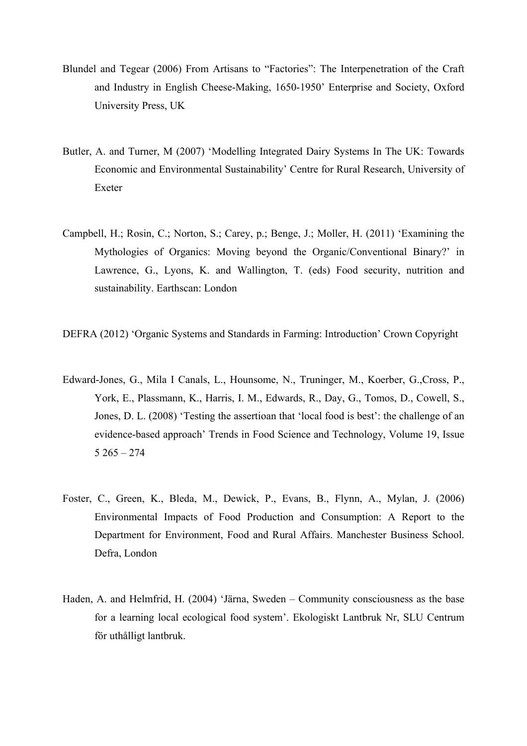- Blundel and Tegear (2006) From Artisans to "Factories": The Interpenetration of the Craft and Industry in English Cheese-Making, 1650-1950' Enterprise and Society, Oxford University Press, UK
- Butler, A. and Turner, M (2007) 'Modelling Integrated Dairy Systems In The UK: Towards Economic and Environmental Sustainability' Centre for Rural Research, University of Exeter
- Campbell, H.; Rosin, C.; Norton, S.; Carey, p.; Benge, J.; Moller, H. (2011) 'Examining the Mythologies of Organics: Moving beyond the Organic/Conventional Binary?' in Lawrence, G., Lyons, K. and Wallington, T. (eds) Food security, nutrition and sustainability. Earthscan: London

DEFRA (2012) 'Organic Systems and Standards in Farming: Introduction' Crown Copyright

- Edward-Jones, G., Mila I Canals, L., Hounsome, N., Truninger, M., Koerber, G.,Cross, P., York, E., Plassmann, K., Harris, I. M., Edwards, R., Day, G., Tomos, D., Cowell, S., Jones, D. L. (2008) 'Testing the assertioan that 'local food is best': the challenge of an evidence-based approach' Trends in Food Science and Technology, Volume 19, Issue  $5\,265 - 274$
- Foster, C., Green, K., Bleda, M., Dewick, P., Evans, B., Flynn, A., Mylan, J. (2006) Environmental Impacts of Food Production and Consumption: A Report to the Department for Environment, Food and Rural Affairs. Manchester Business School. Defra, London
- Haden, A. and Helmfrid, H. (2004) 'Järna, Sweden Community consciousness as the base for a learning local ecological food system'. Ekologiskt Lantbruk Nr, SLU Centrum för uthålligt lantbruk.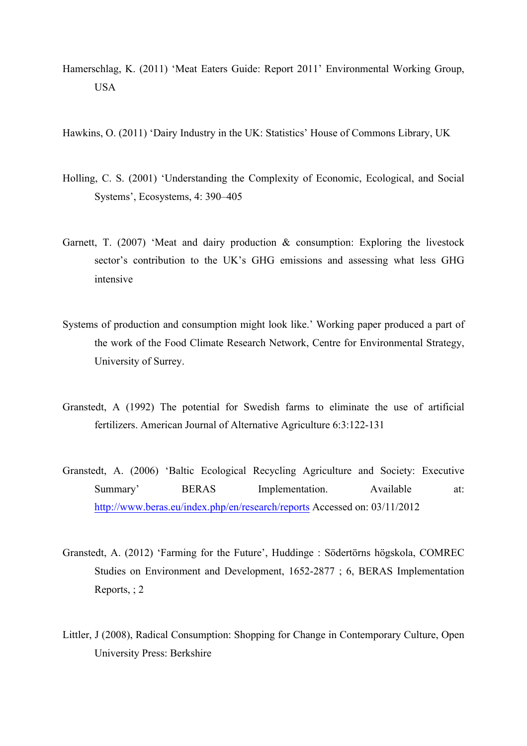- Hamerschlag, K. (2011) 'Meat Eaters Guide: Report 2011' Environmental Working Group, USA
- Hawkins, O. (2011) 'Dairy Industry in the UK: Statistics' House of Commons Library, UK
- Holling, C. S. (2001) 'Understanding the Complexity of Economic, Ecological, and Social Systems', Ecosystems, 4: 390–405
- Garnett, T. (2007) 'Meat and dairy production  $\&$  consumption: Exploring the livestock sector's contribution to the UK's GHG emissions and assessing what less GHG intensive
- Systems of production and consumption might look like.' Working paper produced a part of the work of the Food Climate Research Network, Centre for Environmental Strategy, University of Surrey.
- Granstedt, A (1992) The potential for Swedish farms to eliminate the use of artificial fertilizers. American Journal of Alternative Agriculture 6:3:122-131
- Granstedt, A. (2006) 'Baltic Ecological Recycling Agriculture and Society: Executive Summary' BERAS Implementation. Available at: http://www.beras.eu/index.php/en/research/reports Accessed on: 03/11/2012
- Granstedt, A. (2012) 'Farming for the Future', Huddinge : Södertörns högskola, COMREC Studies on Environment and Development, 1652-2877 ; 6, BERAS Implementation Reports, ; 2
- Littler, J (2008), Radical Consumption: Shopping for Change in Contemporary Culture, Open University Press: Berkshire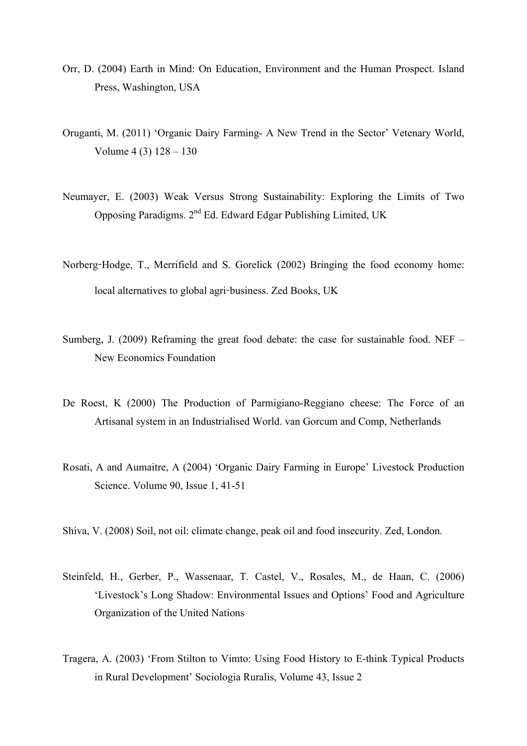- Orr, D. (2004) Earth in Mind: On Education, Environment and the Human Prospect. Island Press, Washington, USA
- Oruganti, M. (2011) 'Organic Dairy Farming- A New Trend in the Sector' Vetenary World, Volume 4 (3) 128 – 130
- Neumayer, E. (2003) Weak Versus Strong Sustainability: Exploring the Limits of Two Opposing Paradigms. 2nd Ed. Edward Edgar Publishing Limited, UK
- Norberg-Hodge, T., Merrifield and S. Gorelick (2002) Bringing the food economy home: local alternatives to global agri-business. Zed Books, UK
- Sumberg, J. (2009) Reframing the great food debate: the case for sustainable food. NEF New Economics Foundation
- De Roest, K (2000) The Production of Parmigiano-Reggiano cheese: The Force of an Artisanal system in an Industrialised World. van Gorcum and Comp, Netherlands
- Rosati, A and Aumaitre, A (2004) 'Organic Dairy Farming in Europe' Livestock Production Science. Volume 90, Issue 1, 41-51
- Shiva, V. (2008) Soil, not oil: climate change, peak oil and food insecurity. Zed, London.
- Steinfeld, H., Gerber, P., Wassenaar, T. Castel, V., Rosales, M., de Haan, C. (2006) 'Livestock's Long Shadow: Environmental Issues and Options' Food and Agriculture Organization of the United Nations
- Tragera, A. (2003) 'From Stilton to Vimto: Using Food History to E-think Typical Products in Rural Development' Sociologia Ruralis, Volume 43, Issue 2